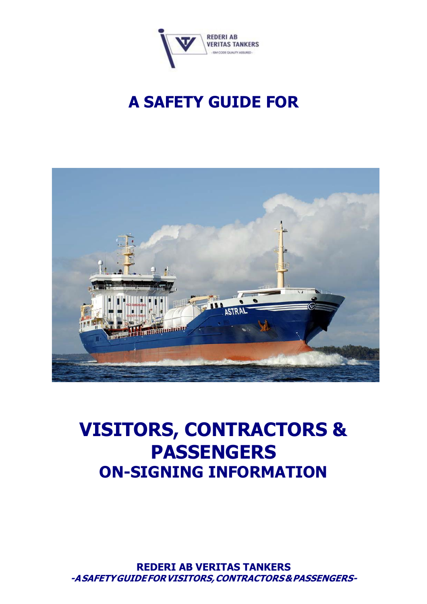

# **A SAFETY GUIDE FOR**



# **VISITORS, CONTRACTORS & PASSENGERS ON-SIGNING INFORMATION**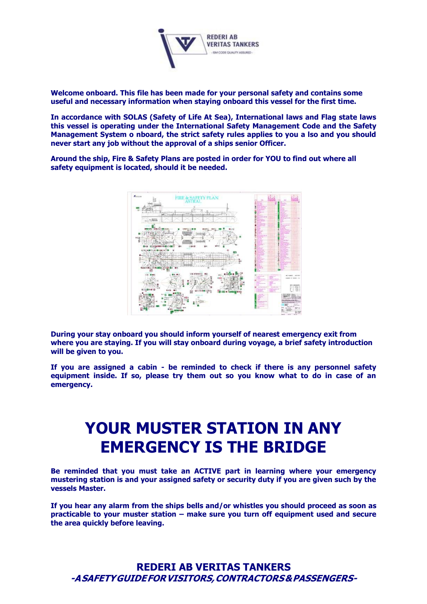

**Welcome onboard. This file has been made for your personal safety and contains some useful and necessary information when staying onboard this vessel for the first time.**

**In accordance with SOLAS (Safety of Life At Sea), International laws and Flag state laws this vessel is operating under the International Safety Management Code and the Safety Management System o nboard, the strict safety rules applies to you a lso and you should never start any job without the approval of a ships senior Officer.**

**Around the ship, Fire & Safety Plans are posted in order for YOU to find out where all safety equipment is located, should it be needed.**



**During your stay onboard you should inform yourself of nearest emergency exit from where you are staying. If you will stay onboard during voyage, a brief safety introduction will be given to you.**

**If you are assigned a cabin - be reminded to check if there is any personnel safety equipment inside. If so, please try them out so you know what to do in case of an emergency.**

## **YOUR MUSTER STATION IN ANY EMERGENCY IS THE BRIDGE**

**Be reminded that you must take an ACTIVE part in learning where your emergency mustering station is and your assigned safety or security duty if you are given such by the vessels Master.**

**If you hear any alarm from the ships bells and/or whistles you should proceed as soon as practicable to your muster station – make sure you turn off equipment used and secure the area quickly before leaving.**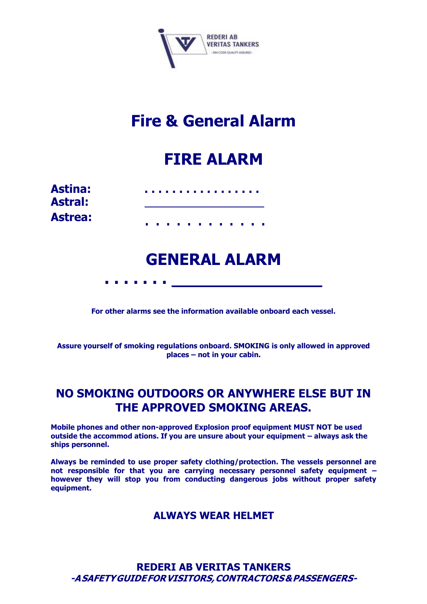

## **Fire & General Alarm**

### **FIRE ALARM**

| <b>Astina:</b><br><b>Astral:</b> |  |  | . |  |  |  |  |
|----------------------------------|--|--|---|--|--|--|--|
| <b>Astrea:</b>                   |  |  | . |  |  |  |  |

**. . . . . . .**

### **GENERAL ALARM**

**For other alarms see the information available onboard each vessel.**

**Assure yourself of smoking regulations onboard. SMOKING is only allowed in approved places – not in your cabin.**

### **NO SMOKING OUTDOORS OR ANYWHERE ELSE BUT IN THE APPROVED SMOKING AREAS.**

**Mobile phones and other non-approved Explosion proof equipment MUST NOT be used outside the accommod ations. If you are unsure about your equipment – always ask the ships personnel.**

**Always be reminded to use proper safety clothing/protection. The vessels personnel are not responsible for that you are carrying necessary personnel safety equipment – however they will stop you from conducting dangerous jobs without proper safety equipment.**

### **ALWAYS WEAR HELMET**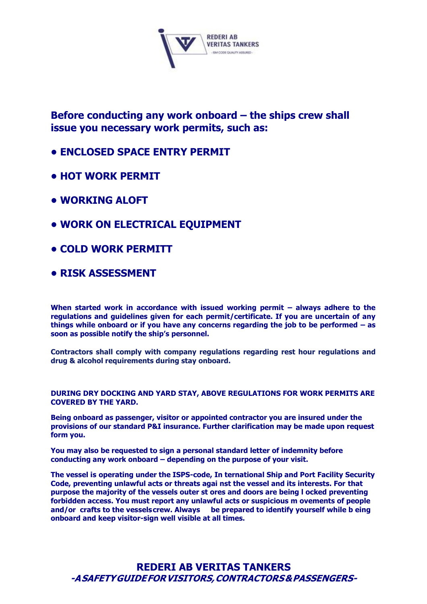

**Before conducting any work onboard – the ships crew shall issue you necessary work permits, such as:**

- **• ENCLOSED SPACE ENTRY PERMIT**
- **• HOT WORK PERMIT**
- **• WORKING ALOFT**
- **• WORK ON ELECTRICAL EQUIPMENT**
- **• COLD WORK PERMITT**
- **• RISK ASSESSMENT**

**When started work in accordance with issued working permit – always adhere to the regulations and guidelines given for each permit/certificate. If you are uncertain of any things while onboard or if you have any concerns regarding the job to be performed – as soon as possible notify the ship's personnel.**

**Contractors shall comply with company regulations regarding rest hour regulations and drug & alcohol requirements during stay onboard.**

**DURING DRY DOCKING AND YARD STAY, ABOVE REGULATIONS FOR WORK PERMITS ARE COVERED BY THE YARD.**

**Being onboard as passenger, visitor or appointed contractor you are insured under the provisions of our standard P&I insurance. Further clarification may be made upon request form you.**

**You may also be requested to sign a personal standard letter of indemnity before conducting any work onboard – depending on the purpose of your visit.**

**The vessel is operating under the ISPS-code, In ternational Ship and Port Facility Security Code, preventing unlawful acts or threats agai nst the vessel and its interests. For that purpose the majority of the vessels outer st ores and doors are being l ocked preventing forbidden access. You must report any unlawful acts or suspicious m ovements of people and/or crafts to the vesselscrew. Always be prepared to identify yourself while b eing onboard and keep visitor-sign well visible at all times.**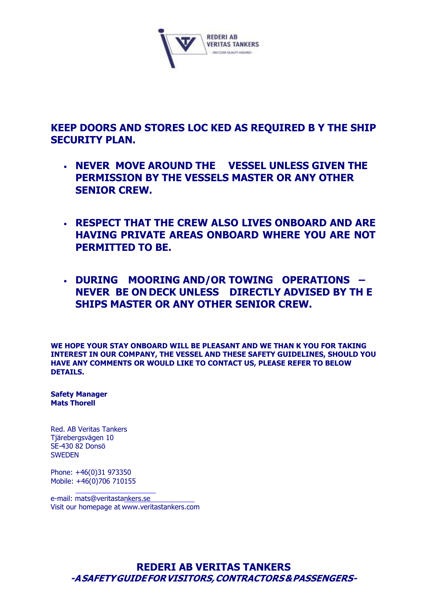

**KEEP DOORS AND STORES LOC KED AS REQUIRED B Y THE SHIP SECURITY PLAN.**

- **NEVER MOVE AROUND THE VESSEL UNLESS GIVEN THE PERMISSION BY THE VESSELS MASTER OR ANY OTHER SENIOR CREW.**
- **RESPECT THAT THE CREW ALSO LIVES ONBOARD AND ARE HAVING PRIVATE AREAS ONBOARD WHERE YOU ARE NOT PERMITTED TO BE.**
- **DURING MOORING AND/OR TOWING OPERATIONS – NEVER BE ON DECK UNLESS DIRECTLY ADVISED BY TH E SHIPS MASTER OR ANY OTHER SENIOR CREW.**

**WE HOPE YOUR STAY ONBOARD WILL BE PLEASANT AND WE THAN K YOU FOR TAKING INTEREST IN OUR COMPANY, THE VESSEL AND THESE SAFETY GUIDELINES, SHOULD YOU HAVE ANY COMMENTS OR WOULD LIKE TO CONTACT US, PLEASE REFER TO BELOW DETAILS.**

**Safety Manager Mats Thorell**

Red. AB Veritas Tankers Tjärebergsvägen 10 SE-430 82 Donsö SWEDEN

Phone: +46(0)31 973350 Mobile: +46(0)706 710155

e-mail: [mats@veritastankers.se](mailto:mats@veritastankers.se)  Visit our homepage at [www.veritastankers.com](http://www.veritastankers.com/)